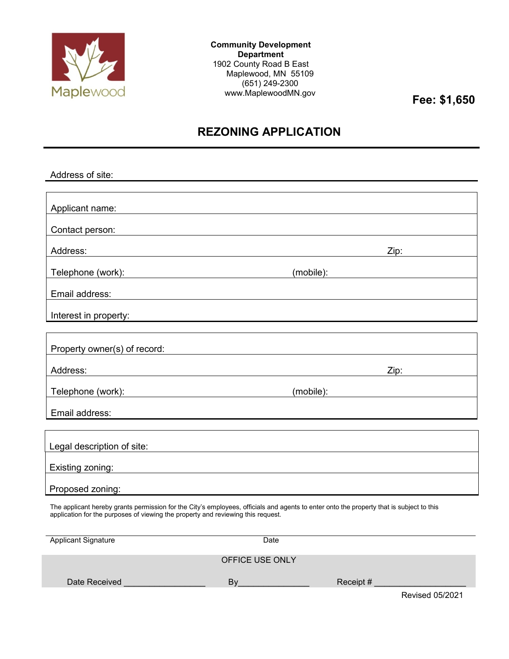

**Community Development Department** 1902 County Road B East Maplewood, MN 55109 (651) 249-2300 www.MaplewoodMN.gov

**Fee: \$1,650**

# **REZONING APPLICATION**

| Address of site:                                                                                                                                                                                                             |           |  |  |
|------------------------------------------------------------------------------------------------------------------------------------------------------------------------------------------------------------------------------|-----------|--|--|
|                                                                                                                                                                                                                              |           |  |  |
| Applicant name:                                                                                                                                                                                                              |           |  |  |
| Contact person:                                                                                                                                                                                                              |           |  |  |
| Address:<br><u> 1980 - Johann Barn, mars ann an t-Amhain Aonaich an t-Aonaich an t-Aonaich ann an t-Aonaich ann an t-Aonaich</u>                                                                                             | Zip:      |  |  |
| Telephone (work):<br><u> 1980 - Johann Barn, mars ann an t-Amhain Aonaich an t-Aonaich an t-Aonaich ann an t-Aonaich ann an t-Aonaich</u>                                                                                    |           |  |  |
| Email address:                                                                                                                                                                                                               |           |  |  |
| Interest in property:                                                                                                                                                                                                        |           |  |  |
|                                                                                                                                                                                                                              |           |  |  |
| Property owner(s) of record:                                                                                                                                                                                                 |           |  |  |
| Address:                                                                                                                                                                                                                     | Zip:      |  |  |
| Telephone (work):                                                                                                                                                                                                            | (mobile): |  |  |
| Email address:                                                                                                                                                                                                               |           |  |  |
|                                                                                                                                                                                                                              |           |  |  |
| Legal description of site:<br><u> 1980 - Andrea Brand, amerikansk politik (</u>                                                                                                                                              |           |  |  |
| Existing zoning:<br><u> 1980 - Johann Barn, fransk politik (f. 1980)</u>                                                                                                                                                     |           |  |  |
| Proposed zoning:                                                                                                                                                                                                             |           |  |  |
| The applicant hereby grants permission for the City's employees, officials and agents to enter onto the property that is subject to this<br>application for the purposes of viewing the property and reviewing this request. |           |  |  |
| <b>Applicant Signature</b>                                                                                                                                                                                                   | Date      |  |  |
| OEEICE LISE ONLY                                                                                                                                                                                                             |           |  |  |

|               | UFFILE USE UNLY |           |                        |
|---------------|-----------------|-----------|------------------------|
| Date Received | Bv              | Receipt # |                        |
|               |                 |           | <b>Revised 05/2021</b> |